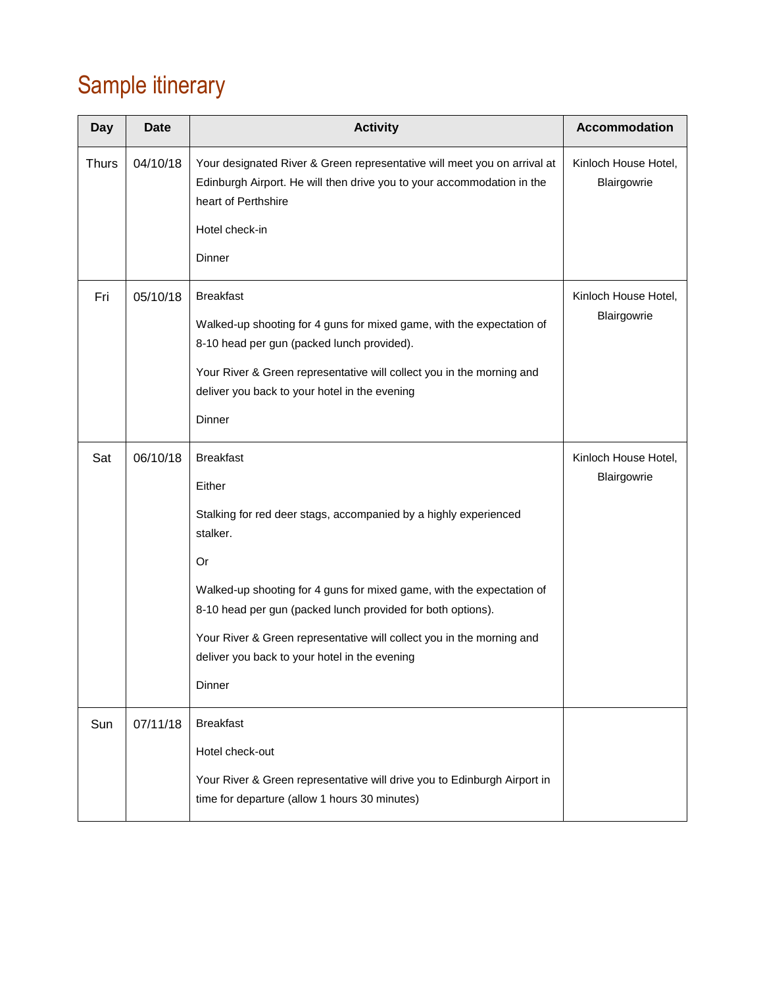# Sample itinerary

| <b>Day</b>   | <b>Date</b> | <b>Activity</b>                                                                                                                                                                                                                                                                                                                                                                              | Accommodation                       |
|--------------|-------------|----------------------------------------------------------------------------------------------------------------------------------------------------------------------------------------------------------------------------------------------------------------------------------------------------------------------------------------------------------------------------------------------|-------------------------------------|
| <b>Thurs</b> | 04/10/18    | Your designated River & Green representative will meet you on arrival at<br>Edinburgh Airport. He will then drive you to your accommodation in the<br>heart of Perthshire<br>Hotel check-in<br>Dinner                                                                                                                                                                                        | Kinloch House Hotel,<br>Blairgowrie |
| Fri          | 05/10/18    | <b>Breakfast</b><br>Walked-up shooting for 4 guns for mixed game, with the expectation of<br>8-10 head per gun (packed lunch provided).<br>Your River & Green representative will collect you in the morning and<br>deliver you back to your hotel in the evening<br>Dinner                                                                                                                  | Kinloch House Hotel,<br>Blairgowrie |
| Sat          | 06/10/18    | <b>Breakfast</b><br>Either<br>Stalking for red deer stags, accompanied by a highly experienced<br>stalker.<br>Or<br>Walked-up shooting for 4 guns for mixed game, with the expectation of<br>8-10 head per gun (packed lunch provided for both options).<br>Your River & Green representative will collect you in the morning and<br>deliver you back to your hotel in the evening<br>Dinner | Kinloch House Hotel,<br>Blairgowrie |
| Sun          | 07/11/18    | <b>Breakfast</b><br>Hotel check-out<br>Your River & Green representative will drive you to Edinburgh Airport in<br>time for departure (allow 1 hours 30 minutes)                                                                                                                                                                                                                             |                                     |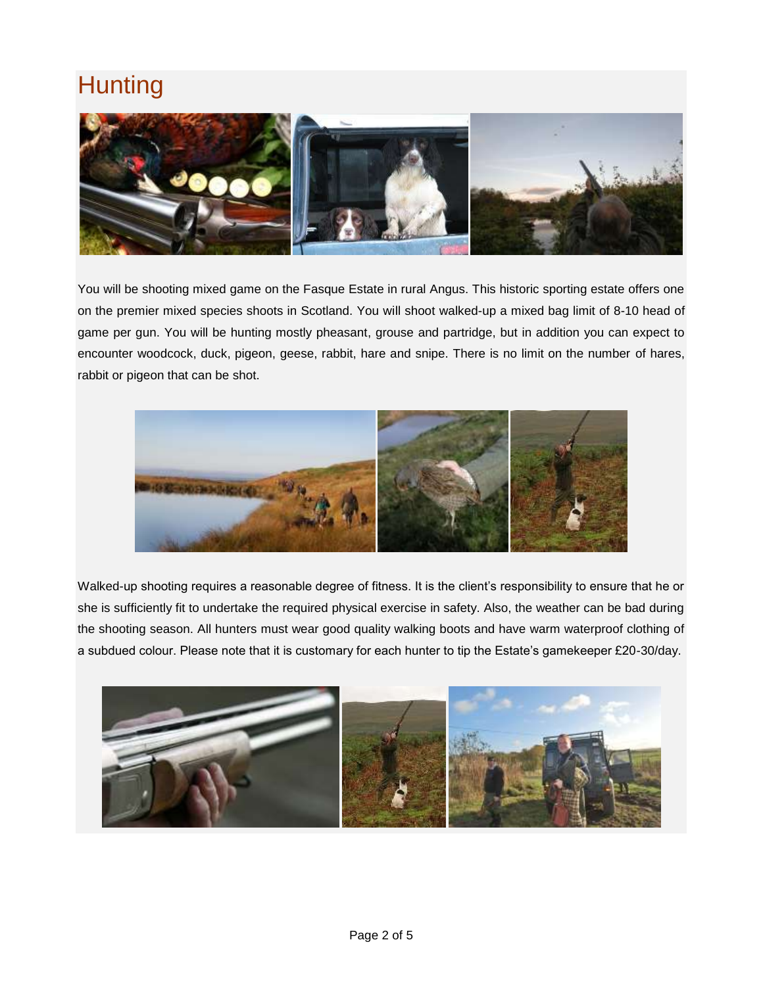# **Hunting**



You will be shooting mixed game on the Fasque Estate in rural Angus. This historic sporting estate offers one on the premier mixed species shoots in Scotland. You will shoot walked-up a mixed bag limit of 8-10 head of game per gun. You will be hunting mostly pheasant, grouse and partridge, but in addition you can expect to encounter woodcock, duck, pigeon, geese, rabbit, hare and snipe. There is no limit on the number of hares, rabbit or pigeon that can be shot.



Walked-up shooting requires a reasonable degree of fitness. It is the client's responsibility to ensure that he or she is sufficiently fit to undertake the required physical exercise in safety. Also, the weather can be bad during the shooting season. All hunters must wear good quality walking boots and have warm waterproof clothing of a subdued colour. Please note that it is customary for each hunter to tip the Estate's gamekeeper £20-30/day.

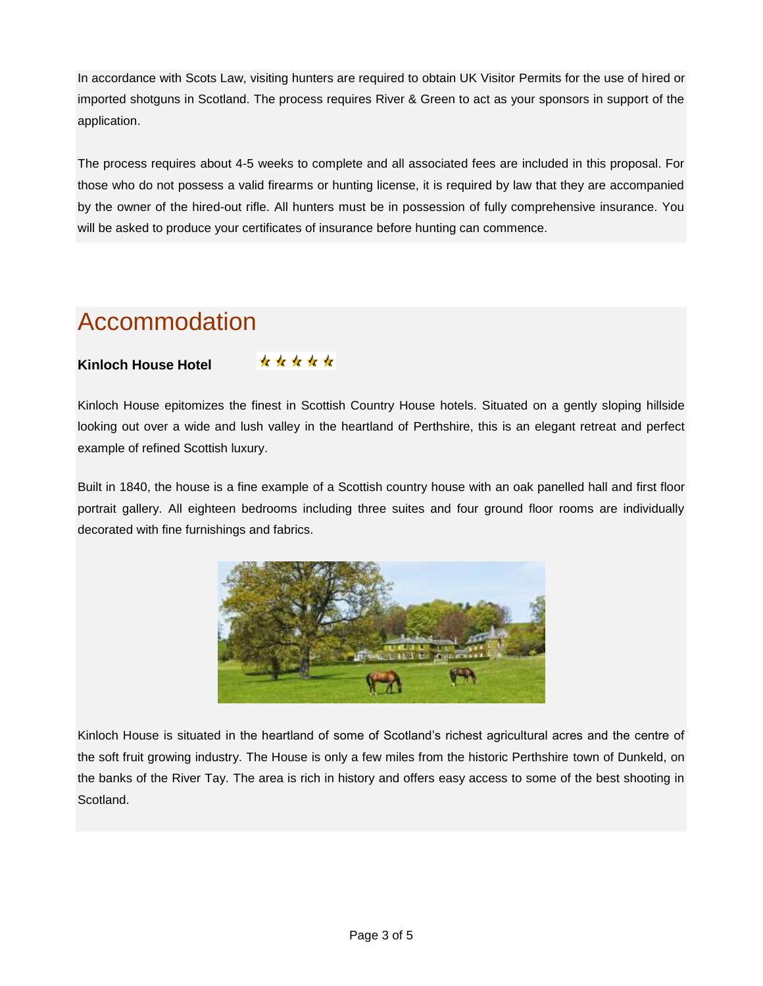In accordance with Scots Law, visiting hunters are required to obtain UK Visitor Permits for the use of hired or imported shotguns in Scotland. The process requires River & Green to act as your sponsors in support of the application.

The process requires about 4-5 weeks to complete and all associated fees are included in this proposal. For those who do not possess a valid firearms or hunting license, it is required by law that they are accompanied by the owner of the hired-out rifle. All hunters must be in possession of fully comprehensive insurance. You will be asked to produce your certificates of insurance before hunting can commence.

## Accommodation

#### **Kinloch House Hotel**

\*\*\*\*\*

Kinloch House epitomizes the finest in Scottish Country House hotels. Situated on a gently sloping hillside looking out over a wide and lush valley in the heartland of Perthshire, this is an elegant retreat and perfect example of refined Scottish luxury.

Built in 1840, the house is a fine example of a Scottish country house with an oak panelled hall and first floor portrait gallery. All eighteen bedrooms including three suites and four ground floor rooms are individually decorated with fine furnishings and fabrics.



Kinloch House is situated in the heartland of some of Scotland's richest agricultural acres and the centre of the soft fruit growing industry. The House is only a few miles from the historic Perthshire town of Dunkeld, on the banks of the River Tay. The area is rich in history and offers easy access to some of the best shooting in **Scotland**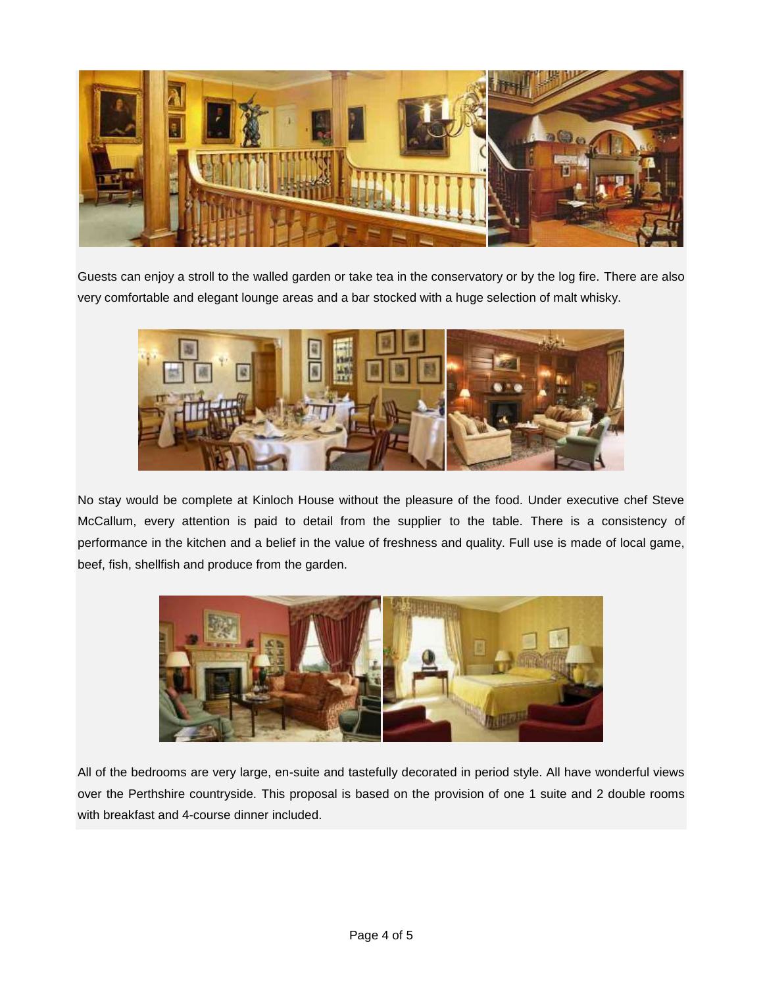

Guests can enjoy a stroll to the walled garden or take tea in the conservatory or by the log fire. There are also very comfortable and elegant lounge areas and a bar stocked with a huge selection of malt whisky.



No stay would be complete at Kinloch House without the pleasure of the food. Under executive chef Steve McCallum, every attention is paid to detail from the supplier to the table. There is a consistency of performance in the kitchen and a belief in the value of freshness and quality. Full use is made of local game, beef, fish, shellfish and produce from the garden.



All of the bedrooms are very large, en-suite and tastefully decorated in period style. All have wonderful views over the Perthshire countryside. This proposal is based on the provision of one 1 suite and 2 double rooms with breakfast and 4-course dinner included.